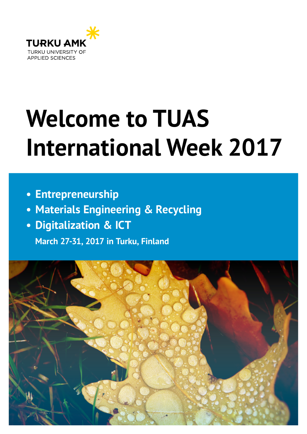

# **Welcome to TUAS International Week 2017**

- **• Entrepreneurship**
- **• Materials Engineering & Recycling**
- **• Digitalization & ICT**

 **March 27-31, 2017 in Turku, Finland**